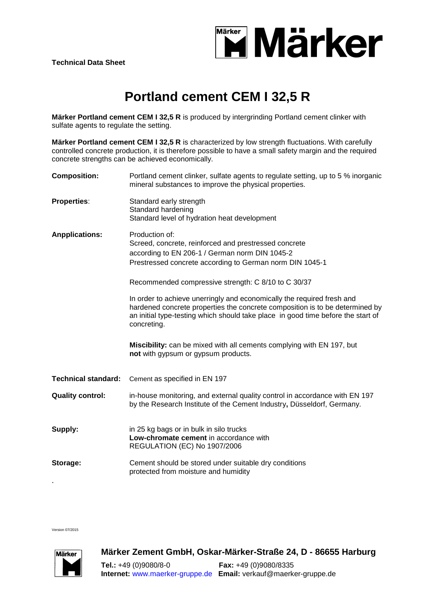

## **Portland cement CEM I 32,5 R**

**Märker Portland cement CEM I 32,5 R** is produced by intergrinding Portland cement clinker with sulfate agents to regulate the setting.

**Märker Portland cement CEM I 32,5 R** is characterized by low strength fluctuations. With carefully controlled concrete production, it is therefore possible to have a small safety margin and the required concrete strengths can be achieved economically.

| <b>Composition:</b>        | Portland cement clinker, sulfate agents to regulate setting, up to 5 % inorganic<br>mineral substances to improve the physical properties.                                                                                                                |
|----------------------------|-----------------------------------------------------------------------------------------------------------------------------------------------------------------------------------------------------------------------------------------------------------|
| <b>Properties:</b>         | Standard early strength<br>Standard hardening<br>Standard level of hydration heat development                                                                                                                                                             |
| <b>Anpplications:</b>      | Production of:<br>Screed, concrete, reinforced and prestressed concrete<br>according to EN 206-1 / German norm DIN 1045-2<br>Prestressed concrete according to German norm DIN 1045-1                                                                     |
|                            | Recommended compressive strength: C 8/10 to C 30/37                                                                                                                                                                                                       |
|                            | In order to achieve unerringly and economically the required fresh and<br>hardened concrete properties the concrete composition is to be determined by<br>an initial type-testing which should take place in good time before the start of<br>concreting. |
|                            | Miscibility: can be mixed with all cements complying with EN 197, but<br>not with gypsum or gypsum products.                                                                                                                                              |
|                            |                                                                                                                                                                                                                                                           |
| <b>Technical standard:</b> | Cement as specified in EN 197                                                                                                                                                                                                                             |
| <b>Quality control:</b>    | in-house monitoring, and external quality control in accordance with EN 197<br>by the Research Institute of the Cement Industry, Düsseldorf, Germany.                                                                                                     |
| Supply:                    | in 25 kg bags or in bulk in silo trucks<br>Low-chromate cement in accordance with<br>REGULATION (EC) No 1907/2006                                                                                                                                         |

Version 07/2015



**Märker Zement GmbH, Oskar-Märker-Straße 24, D - 86655 Harburg** 

**Tel.:** +49 (0)9080/8-0 **Fax:** +49 (0)9080/8335 **Internet:** [www.maerker-gruppe.de](http://www.maerker-gruppe.de/) **Email:** verkauf@maerker-gruppe.de